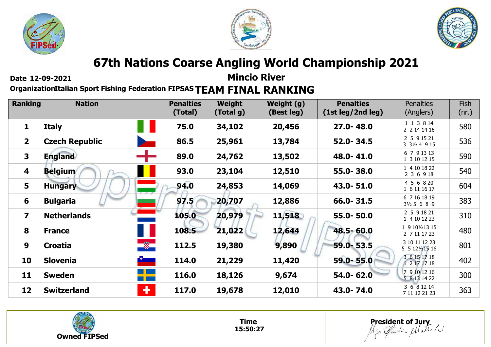





**Date 12-09-2021**

**Mincio River**

**OrganizationItalian Sport Fishing Federation FIPSAS TEAM FINAL RANKING** 

| <b>Ranking</b>          | <b>Nation</b>         |                      | <b>Penalties</b><br>(Total) | Weight<br>(Total g) | Weight (g)<br>(Best leg) | <b>Penalties</b><br>(1st leg/2nd leg) | <b>Penalties</b><br>(Anglers)          | <b>Fish</b><br>(nr.) |
|-------------------------|-----------------------|----------------------|-----------------------------|---------------------|--------------------------|---------------------------------------|----------------------------------------|----------------------|
| 1                       | <b>Italy</b>          |                      | 75.0                        | 34,102              | 20,456                   | $27.0 - 48.0$                         | 1 1 3 8 14<br>2 2 14 14 16             | 580                  |
| 2 <sup>1</sup>          | <b>Czech Republic</b> |                      | 86.5                        | 25,961              | 13,784                   | 52.0-34.5                             | 2 5 9 15 21<br>3 31/2 4 9 15           | 536                  |
| $\overline{\mathbf{3}}$ | <b>England</b>        | ┯                    | 89.0                        | 24,762              | 13,502                   | 48.0-41.0                             | 6 7 9 13 13<br>1 3 10 12 15            | 590                  |
| 4                       | <b>Belgium</b>        |                      | 93.0                        | 23,104              | 12,510                   | 55.0-38.0                             | 1 4 10 18 22<br>2 3 6 9 18             | 540                  |
| 5                       | <b>Hungary</b>        | $+$ $-$              | 94.0                        | 24,853              | 14,069                   | 43.0-51.0                             | 4 5 6 8 20<br>1 6 11 16 17             | 604                  |
| 6                       | <b>Bulgaria</b>       |                      | 97.5                        | 20,707              | 12,886                   | $66.0 - 31.5$                         | 6 7 16 18 19<br>$3\frac{1}{2}$ 5 6 8 9 | 383                  |
| 7                       | <b>Netherlands</b>    |                      | 105.0                       | 20,979              | 11,518                   | 55.0-50.0                             | 2 5 9 18 21<br>1 4 10 12 23            | 310                  |
| 8                       | <b>France</b>         | н                    | 108.5                       | 21,022              | 12,644                   | $48.5 - 60.0$                         | 1 9 10 1 2 13 15<br>2 7 11 17 23       | 480                  |
| 9                       | <b>Croatia</b>        | -8                   | 112.5                       | 19,380              | 9,890                    | 59.0 - 53.5                           | 3 10 11 12 23<br>5 5 12 $1/2$ 15 16    | 801                  |
| 10                      | <b>Slovenia</b>       | $\frac{1}{\sqrt{2}}$ | 114.0                       | 21,229              | 11,420                   | 59.0-55.0                             | 3 6 15 17 18<br>1 2 17 17 18           | 402                  |
| 11                      | <b>Sweden</b>         | n pro                | 116.0                       | 18,126              | 9,674                    | 54.0-62.0                             | 7 9 10 12 16<br>5 8 13 14 22           | 300                  |
| 12                      | <b>Switzerland</b>    | ÷                    | 117.0                       | 19,678              | 12,010                   | 43.0-74.0                             | 3 6 8 12 14<br>7 11 12 21 23           | 363                  |



**Time 15:50:27**

**President of Jury**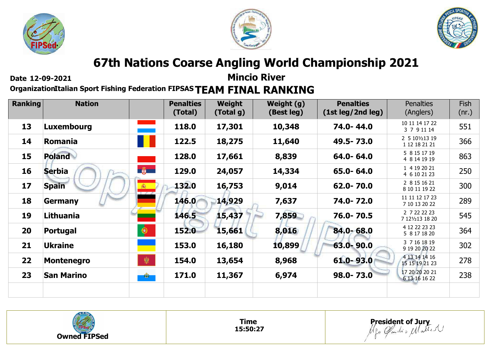





**Date 12-09-2021**

**Mincio River**

**OrganizationItalian Sport Fishing Federation FIPSAS TEAM FINAL RANKING** 

| <b>Ranking</b> | <b>Nation</b>     |                     | <b>Penalties</b><br>(Total) | Weight<br>(Total g) | Weight (g)<br>(Best leg) | <b>Penalties</b><br>(1st leg/2nd leg) | <b>Penalties</b><br>(Anglers)     | <b>Fish</b><br>(nr.) |
|----------------|-------------------|---------------------|-----------------------------|---------------------|--------------------------|---------------------------------------|-----------------------------------|----------------------|
| 13             | <b>Luxembourg</b> |                     | 118.0                       | 17,301              | 10,348                   | 74.0-44.0                             | 10 11 14 17 22<br>3 7 9 11 14     | 551                  |
| 14             | Romania           |                     | 122.5                       | 18,275              | 11,640                   | 49.5 - 73.0                           | 2 5 10 1/2 13 19<br>1 12 18 21 21 | 366                  |
| 15             | <b>Poland</b>     |                     | 128.0                       | 17,661              | 8,839                    | 64.0-64.0                             | 5 8 15 17 19<br>4 8 14 19 19      | 863                  |
| 16             | <b>Serbia</b>     | $\frac{1}{2}$       | 129.0                       | 24,057              | 14,334                   | 65.0-64.0                             | 1 4 19 20 21<br>4 6 10 21 23      | 250                  |
| 17             | <b>Spain</b>      | 麻<br>$\overline{1}$ | 132.0                       | 16,753              | 9,014                    | 62.0-70.0                             | 2 8 15 16 21<br>8 10 11 19 22     | 300                  |
| 18             | <b>Germany</b>    |                     | 146.0                       | 14,929              | 7,637                    | 74.0-72.0                             | 11 11 12 17 23<br>7 10 13 20 22   | 289                  |
| 19             | Lithuania         |                     | 146.5                       | 15,437              | 7,859                    | 76.0-70.5                             | 2 7 22 22 23<br>7 121/213 18 20   | 545                  |
| 20             | Portugal          | $\bigcirc$          | 152.0                       | 15,661              | 8,016                    | 84.0 - 68.0                           | 4 12 22 23 23<br>5 8 17 18 20     | 364                  |
| 21             | <b>Ukraine</b>    |                     | 153.0                       | 16,180              | 10,899                   | 63.0-90.0                             | 3 7 16 18 19<br>9 19 20 20 22     | 302                  |
| 22             | <b>Montenegro</b> | 第                   | 154.0                       | 13,654              | 8,968                    | $61.0 - 93.0$                         | 4 13 14 14 16<br>15 15 19 21 23   | 278                  |
| 23             | <b>San Marino</b> |                     | 171.0                       | 11,367              | 6,974                    | 98.0-73.0                             | 17 20 20 20 21<br>6 13 16 16 22   | 238                  |
|                |                   |                     |                             |                     |                          |                                       |                                   |                      |



**Time 15:50:27**

**President of Jury**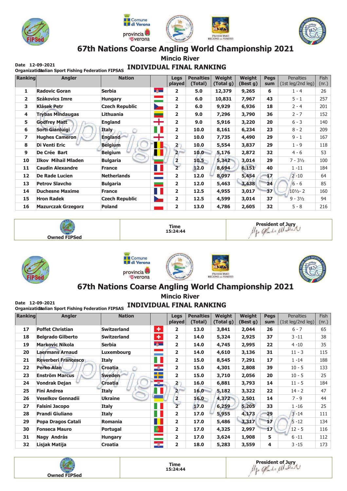





**Mincio River** 

## Draw 12-09-2021<br>Organizatiditalian Sport Fishing Federation FIPSAS INDIVIDUAL FINAL RANKING

| Ranking      | <b>Angler</b>              | <b>Nation</b>         |                       | Legs                    | <b>Penalties</b> | Weight    | <b>Weight</b> | <b>Pegs</b> | <b>Penalties</b>                    | <b>Fish</b> |
|--------------|----------------------------|-----------------------|-----------------------|-------------------------|------------------|-----------|---------------|-------------|-------------------------------------|-------------|
|              |                            |                       |                       | played                  | (Total)          | (Total q) | (Best g)      | <b>sum</b>  | $(1st \text{ leg}/2nd \text{ leg})$ | (nr.)       |
| 1            | <b>Radovic Goran</b>       | <b>Serbia</b>         | - 藤一                  | $\overline{2}$          | 5.0              | 12,379    | 9,265         | 6           | $1 - 4$                             | 26          |
| $\mathbf{z}$ | Szákovics Imre             | <b>Hungary</b>        |                       | $\overline{2}$          | 6.0              | 10,831    | 7,967         | 43          | $5 - 1$                             | 257         |
| 3            | <b>Klásek Petr</b>         | <b>Czech Republic</b> | $\geq$                | $\overline{2}$          | 6.0              | 9,929     | 6,936         | 18          | $2 - 4$                             | 201         |
| 4            | <b>Trybas Mindaugas</b>    | Lithuania             | ╾                     | $\overline{2}$          | 9.0              | 7,296     | 3,790         | 36          | $2 - 7$                             | 152         |
| 5            | <b>Godfrey Matt</b>        | <b>England</b>        | ┿                     | $\overline{2}$          | 9.0              | 5,916     | 3,220         | 20          | $6 - 3$                             | 140         |
| 6            | Sorti Gianluigi            | Italy                 | w                     | $\overline{2}$          | 10.0             | 8,161     | 6,234         | 23          | $8 - 2$                             | 209         |
| 7            | <b>Hughes Cameron</b>      | <b>England</b>        | ┽                     | $\mathbf{z}$            | 10.0             | 7,735     | 4,490         | 29          | $9 - 1$                             | 167         |
| 8            | <b>Di Venti Eric</b>       | <b>Belgium</b>        | H                     | $\overline{2}$          | 10.0             | 5,554     | 3,837         | 29          | $1 - 9$                             | 118         |
| 9            | De Crée Bart               | <b>Belgium</b>        | $\blacksquare$        | $\overline{2}$          | 10.0             | 5,176     | 2,872         | 32          | $4 - 6$                             | 53          |
| 10           | <b>Ilkov Mihail Mladen</b> | <b>Bulgaria</b>       |                       | $\overline{2}$          | $10.5 -$         | 5,342     | 3,014         | 29          | $7 - 3\frac{1}{2}$                  | 100         |
| 11           | <b>Caudin Alexandre</b>    | <b>France</b>         | F.                    | $\overline{2}$          | 12.0             | 8,694     | 6,151         | 40          | $1 - 11$                            | 184         |
| 12           | <b>De Rade Lucien</b>      | <b>Netherlands</b>    | $\equiv$              | $\mathbf{z}$            | 12.0             | 8,097     | 5,454         | 17          | $2 - 10$                            | 64          |
| 13           | <b>Petrov Slavcho</b>      | <b>Bulgaria</b>       | ــ                    | $\overline{2}$          | 12.0             | 5,463     | 3,438         | 24          | $6 - 6$                             | 85          |
| 14           | <b>Duchesne Maxime</b>     | <b>France</b>         | H.                    | $\overline{\mathbf{2}}$ | 12.5             | 4,955     | 3,017         | 37          | $10\frac{1}{2} - 2$                 | 160         |
| 15           | <b>Hron Radek</b>          | <b>Czech Republic</b> | $\blacktriangleright$ | $\overline{2}$          | 12.5             | 4,599     | 3,014         | 37          | $9 - 3\frac{1}{2}$                  | 94          |
| 16           | <b>Mazurczak Grzegorz</b>  | <b>Poland</b>         | an an I               | $\overline{2}$          | 13.0             | 4,786     | 2,605         | 32          | $5 - 8$                             | 216         |











## 67th Nations Coarse Angling World Championship 2021

**Mincio River** 

| Date 12-09-2021 | Organizatidialian Sport Fishing Federation FIPSAS |                    |                                          |                         | <b>INDIVIDUAL FINAL RANKING</b> |                            |                    |                    |                                       |                      |
|-----------------|---------------------------------------------------|--------------------|------------------------------------------|-------------------------|---------------------------------|----------------------------|--------------------|--------------------|---------------------------------------|----------------------|
| Ranking         | <b>Angler</b>                                     | <b>Nation</b>      |                                          | Legs<br>played          | <b>Penalties</b><br>(Total)     | <b>Weight</b><br>(Total g) | Weight<br>(Best g) | <b>Pegs</b><br>sum | <b>Penalties</b><br>(1st leg/2nd leg) | <b>Fish</b><br>(nr.) |
| 17              | <b>Poffet Christian</b>                           | <b>Switzerland</b> | ٠                                        | 2                       | 13.0                            | 3,841                      | 2,044              | 26                 | $6 - 7$                               | 65                   |
| 18              | <b>Belgrado Gilberto</b>                          | <b>Switzerland</b> | $\pm$                                    | $\overline{2}$          | 14.0                            | 5,324                      | 2,925              | 37                 | 3 -11                                 | 38                   |
| 19              | <b>Markovic Nikola</b>                            | <b>Serbia</b>      | 尊一                                       | $\overline{2}$          | 14.0                            | 4,745                      | 2,995              | 22                 | 4 - 10                                | 35                   |
| 20              | <b>Laermans Arnaud</b>                            | <b>Luxembourg</b>  |                                          | $\overline{2}$          | 14.0                            | 4,610                      | 3,136              | 31                 | $11 - 3$                              | 115                  |
| 21              | <b>Reverberi Francesco</b>                        | <b>Italy</b>       | Ш                                        | 2                       | 15.0                            | 8,545                      | 7,291              | 17                 | $1 - 14$                              | 188                  |
| 22              | <b>Perko Alan</b>                                 | <b>Croatia</b>     | $\bullet$                                | $\overline{2}$          | 15.0                            | 4,301                      | 2,808              | 39                 | $10 - 5$                              | 133                  |
| 23              | <b>Enström Marcus</b>                             | <b>Sweden</b>      | <u>a ka</u><br><b>The Contract State</b> | 2                       | 15.0                            | 3,710                      | 2,056              | 20                 | $10 - 5$                              | 25                   |
| 24              | <b>Vondrak Dejan</b>                              | <b>Croatia</b>     | $\circledast$                            | $\mathbf{2}$            | 16.0                            | 6,881                      | 3,793              | 14                 | $11 - 5$                              | 184                  |
| 25              | <b>Fini Andrea</b>                                | <b>Italy</b>       | Н                                        | 2 <sup>1</sup>          | 16.0                            | 5,182                      | 3,322              | 22                 | 14 - 2                                | 47                   |
| 26              | <b>Veselkov Gennadii</b>                          | <b>Ukraine</b>     |                                          | $\overline{2}$          | $16.0 -$                        | 4,372                      | 2,501              | 14                 | $7 - 9$                               | 44                   |
| 27              | <b>Falsini Jacopo</b>                             | <b>Italy</b>       | Ш                                        | $\overline{2}$          | 17.0                            | 6,259                      | 5,205              | 33                 | $1 - 16$                              | 25                   |
| 28              | <b>Prandi Giuliano</b>                            | Italy              | Ш                                        | $\overline{\mathbf{2}}$ | 17.0                            | 5,955                      | 4,173              | 29                 | $3 - 14$                              | 111                  |
| 29              | Popa Dragos Catali                                | <b>Romania</b>     |                                          | 2                       | 17.0                            | 5,486                      | 3,317              | 17                 | $5 - 12$                              | 134                  |
| 30              | <b>Fonseca Mauro</b>                              | Portugal           | $\bullet$                                | $\overline{2}$          | 17.0                            | 4,325                      | 2,997              | 17                 | $12 - 5$                              | 116                  |
| 31              | Nagy András                                       | <b>Hungary</b>     |                                          | 2                       | 17.0                            | 3,624                      | 1,908              | 5                  | $6 - 11$                              | 112                  |
| 32              | Lisjak Matija                                     | Croatia            | $\circledast$                            | 2                       | 18.0                            | 5,283                      | 3,559              | 4                  | $3 - 15$                              | 173                  |

**Time** 15:24:44 **Owned FIPSed** 

President of Jury<br>Mgo Gads Matter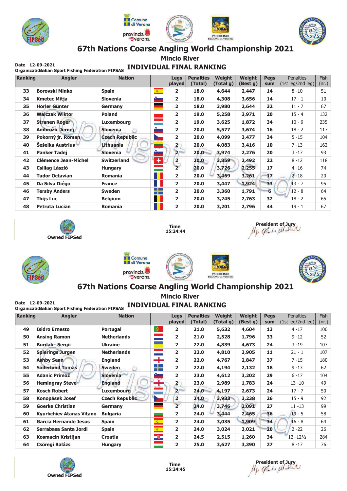





**Mincio River** 

# **Calc 12-05-2021**<br>Organizatidalian Sport Fishing Federation FIPSAS INDIVIDUAL FINAL RANKING

| Ranking | <b>Angler</b>               | <b>Nation</b>         |                      | Legs                    | <b>Penalties</b> | <b>Weight</b> | Weight   | <b>Pegs</b> | <b>Penalties</b>  | Fish  |
|---------|-----------------------------|-----------------------|----------------------|-------------------------|------------------|---------------|----------|-------------|-------------------|-------|
|         |                             |                       |                      | played                  | (Total)          | (Total g)     | (Best g) | sum         | (1st leg/2nd leg) | (nr.) |
| 33      | <b>Borovski Minko</b>       | <b>Spain</b>          | $\mathcal{R}^{\pm}$  | $\overline{2}$          | 18.0             | 4,644         | 2,447    | 14          | $8 - 10$          | 51    |
| 34      | <b>Kmetec Mitja</b>         | Slovenia              | <u> a se</u>         | $\overline{2}$          | 18.0             | 4,308         | 3,656    | 14          | $17 - 1$          | 10    |
| 35      | <b>Horler Günter</b>        | Germany               | ٠                    | $\overline{2}$          | 18.0             | 3,980         | 2,644    | 32          | $11 - 7$          | 67    |
| 36      | <b>Walczak Wiktor</b>       | Poland                |                      | $\overline{2}$          | 19.0             | 5,258         | 3,971    | 20          | $15 - 4$          | 132   |
| 37      | <b>Stranen Roger</b>        | Luxembourg            |                      | $\overline{\mathbf{2}}$ | 19.0             | 3,625         | 1,872    | 34          | $10 - 9$          | 235   |
| 38      | Ambrožic Jernej             | <b>Slovenia</b>       | ستق                  | $\overline{\mathbf{2}}$ | 20.0             | 5,577         | 3,674    | 16          | $18 - 2$          | 117   |
| 39      | Pokorný jr. Roman           | <b>Czech Republic</b> | $\geq$               | $\overline{2}$          | 20.0             | 4,099         | 3,477    | 34          | $5 - 15$          | 104   |
| 40      | Šešeika Austrius            | Lithuania             | <u>era</u><br>Serang | $\mathbf{2}^-$          | 20.0             | 4,083         | 3,416    | 10          | $7 - 13$          | 162   |
| 41      | <b>Panker Tadej</b>         | <b>Slovenia</b>       | r.                   | 2 <sup>1</sup>          | 20.0             | 3,974         | 2,276    | 20          | $3 - 17$          | 93    |
| 42      | <b>Clémence Jean-Michel</b> | <b>Switzerland</b>    | $\pm$                | $\overline{\mathbf{2}}$ | 20.0             | 3,859         | 2,492    | 22          | $8 - 12$          | 118   |
| 43      | Csillag László              | <b>Hungary</b>        | Ξ                    | $\overline{2}$          | 20.0             | 3,726         | 2,255    | 17          | 4 - 16            | 74    |
| 44      | <b>Tudor Octavian</b>       | Romania               | H                    | $\overline{\mathbf{2}}$ | 20.0             | 3,469         | 3,261    | 17          | $2 - 18$          | 20    |
| 45      | Da Silva Diégo              | <b>France</b>         | Ш                    | $\overline{2}$          | 20.0             | 3,447         | 1,924    | 33          | $13 - 7$          | 95    |
| 46      | <b>Tersby Anders</b>        | <b>Sweden</b>         | <u>a ka</u><br>m m   | $\overline{\mathbf{2}}$ | 20.0             | 3,360         | 1,791    | 6           | $12 - 8$          | 64    |
| 47      | Thijs Luc                   | <b>Belgium</b>        | ш                    | $\overline{2}$          | 20.0             | 3,245         | 2,763    | 32          | $18 - 2$          | 65    |
| 48      | Petruta Lucian              | Romania               | H                    | $\overline{2}$          | 20.0             | 3,201         | 2,796    | 44          | $19 - 1$          | 67    |











## 67th Nations Coarse Angling World Championship 2021

**Mincio River** Date 12-09-2021<br>Organizatiditalian Sport Fishing Federation FIPSAS INDIVIDUAL FINAL RANKING

| Ranking | Angler                          | <b>Nation</b>         |                                    | Legs                    | <b>Penalties</b> | Weight    | Weight   | <b>Pegs</b> | <b>Penalties</b>     | Fish  |
|---------|---------------------------------|-----------------------|------------------------------------|-------------------------|------------------|-----------|----------|-------------|----------------------|-------|
|         |                                 |                       |                                    | played                  | (Total)          | (Total g) | (Best g) | sum         | (1st leg/2nd leg)    | (nr.) |
| 49      | <b>Isidro Ernesto</b>           | Portugal              | $\bullet$                          | 2                       | 21.0             | 5,632     | 4,604    | 13          | $4 - 17$             | 100   |
| 50      | <b>Ansing Ramon</b>             | <b>Netherlands</b>    |                                    | 2                       | 21.0             | 2,528     | 1,796    | 33          | $9 - 12$             | 52    |
| 51      | <b>Burdak Sergii</b>            | <b>Ukraine</b>        | m.                                 | $\overline{\mathbf{2}}$ | 22.0             | 4,839     | 4,673    | 24          | $3 - 19$             | 107   |
| 52      | <b>Spierings Jurgen</b>         | <b>Netherlands</b>    |                                    | 2                       | 22.0             | 4,810     | 3,905    | 11          | $21 - 1$             | 107   |
| 53      | <b>Ashby Sean</b>               | <b>England</b>        | ╅                                  | $\overline{2}$          | 22.0             | 4,767     | 2,847    | 37          | $7 - 15$             | 180   |
| 54      | <b>Söderlund Tomas</b>          | <b>Sweden</b>         | ╄                                  | 2                       | 22.0             | 4,194     | 2,132    | 18          | $9 - 13$             | 62    |
| 55      | <b>Adanic Primož</b>            | <b>Slovenia</b>       | ستث                                | 2                       | 23.0             | 4,612     | 3,202    | 29          | $6 - 17$             | 104   |
| 56      | <b>Hemingray Steve</b>          | <b>England</b>        | Ŧ                                  | $\overline{\mathbf{2}}$ | 23.0             | 2,989     | 1,783    | 24          | $13 - 10$            | 49    |
| 57      | <b>Kosch Robert</b>             | <b>Luxembourg</b>     |                                    | 2 <sup>n</sup>          | 24.0             | 4,197     | 2,673    | 24          | $17 - 7$             | 50    |
| 58      | <b>Konopásek Josef</b>          | <b>Czech Republic</b> | $\blacktriangleright$              | $\overline{\mathbf{2}}$ | 24.0             | 3,933     | 3,238    | 26          | $15 - 9$             | 92    |
| 59      | <b>Goerke Christian</b>         | Germany               | -                                  | $\overline{2}$          | 24.0             | 3,746     | 2,091    | 27          | $11 - 13$            | 99    |
| 60      | <b>Kyurkchiev Atanas Vitano</b> | <b>Bulgaria</b>       | -                                  | $\overline{\mathbf{2}}$ | 24.0             | 3,444     | 2,465    | 36          | $19 - 5$             | 58    |
| 61      | <b>Garcia Hernande Jesus</b>    | <b>Spain</b>          | $\frac{1}{\mathcal{R}_\text{max}}$ | $\overline{\mathbf{2}}$ | 24.0             | 3,035     | 1,909    | 34          | $16 - 8$             | 64    |
| 62      | Serrabasa Santa Jordi           | <b>Spain</b>          | $\overline{\mathbf{A}}$            | $\mathbf{z}$            | 24.0             | 3,024     | 3,021    | 20          | $2 - 22$             | 26    |
| 63      | Kosmacin Kristijan              | <b>Croatia</b>        | $\circ$                            | 2                       | 24.5             | 2,515     | 1,260    | 34          | $12 - 12\frac{1}{2}$ | 284   |
| 64      | <b>Csöregi Balázs</b>           | <b>Hungary</b>        |                                    | 2                       | 25.0             | 3,627     | 3,390    | 27          | $8 - 17$             | 76    |

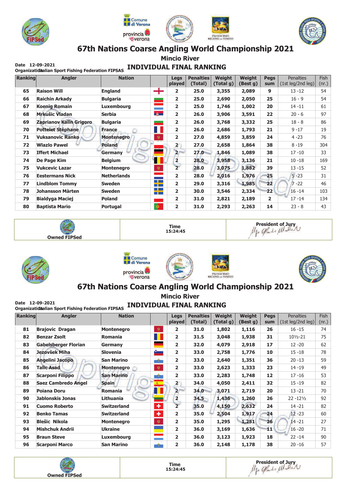





**Mincio River** 

# **Calc 12-05-2021**<br>Organizatidalian Sport Fishing Federation FIPSAS INDIVIDUAL FINAL RANKING

| Ranking | <b>Angler</b>                  | <b>Nation</b>      |                              | Legs<br>played          | <b>Penalties</b><br>(Total) | <b>Weight</b><br>(Total g) | <b>Weight</b><br>(Best g) | <b>Pegs</b><br>sum | <b>Penalties</b><br>(1st leg/2nd leg) | <b>Fish</b><br>(nr.) |
|---------|--------------------------------|--------------------|------------------------------|-------------------------|-----------------------------|----------------------------|---------------------------|--------------------|---------------------------------------|----------------------|
| 65      | <b>Raison Will</b>             | <b>England</b>     | ┿                            | $\overline{2}$          | 25.0                        | 3,355                      | 2,089                     | 9                  | $13 - 12$                             | 54                   |
| 66      | <b>Raichin Arkady</b>          | <b>Bulgaria</b>    | ٠                            | $\overline{2}$          | 25.0                        | 2,690                      | 2,050                     | 25                 | $16 - 9$                              | 54                   |
| 67      | <b>Koenig Romain</b>           | Luxembourg         |                              | $\overline{2}$          | 25.0                        | 1,746                      | 1,002                     | 20                 | $14 - 11$                             | 61                   |
| 68      | <b>Mrkušic Vladan</b>          | <b>Serbia</b>      | 尊                            | $\overline{2}$          | 26.0                        | 3,906                      | 3,591                     | 22                 | $20 - 6$                              | 97                   |
| 69      | <b>Zaprianov Kalin Grigoro</b> | <b>Bulgaria</b>    | -                            | $\overline{\mathbf{2}}$ | 26.0                        | 3,768                      | 3,332                     | 25                 | $18 - 8$                              | 86                   |
| 70      | <b>Pottelet Stéphane</b>       | <b>France</b>      | Π,                           | 2                       | 26.0                        | 2,686                      | 1,793                     | 21                 | $9 - 17$                              | 19                   |
| 71      | <b>Vuksanovic Ranko</b>        | <b>Montenegro</b>  | 纂                            | $\overline{2}$          | 27.0                        | 4,859                      | 3,859                     | 24                 | $4 - 23$                              | 76                   |
| 72      | <b>Wlazlo Pawel</b>            | <b>Poland</b>      |                              | $\overline{\mathbf{2}}$ | 27.0                        | 2,658                      | 1,864                     | 38                 | $8 - 19$                              | 304                  |
| 73      | <b>Iffert Michael</b>          | Germany            |                              | $\overline{2}$          | 27.0                        | 1,846                      | 1,089                     | 38                 | $17 - 10$                             | 33                   |
| 74      | De Page Kim                    | <b>Belgium</b>     |                              | $\overline{\mathbf{c}}$ | 28.0                        | 3,958                      | 3,136                     | 21                 | $10 - 18$                             | 169                  |
| 75      | <b>Vukcevic Lazar</b>          | <b>Montenegro</b>  | - 樂                          | $\overline{2}$          | 28.0                        | 3,075                      | 1,882                     | 39                 | $13 - 15$                             | 52                   |
| 76      | <b>Eestermans Nick</b>         | <b>Netherlands</b> | <u>e a</u>                   | $\overline{2}$          | 28.0                        | 2,016                      | 1,976                     | 25                 | $5 - 23$                              | 31                   |
| 77      | <b>Lindblom Tommy</b>          | <b>Sweden</b>      | $\Box$ $\Box$<br>n po        | $\overline{\mathbf{2}}$ | 29.0                        | 3,316                      | 1,985                     | 22                 | $7 - 22$                              | 46                   |
| 78      | Johansson Màrten               | <b>Sweden</b>      | <u>a ka</u><br><b>The Co</b> | $\overline{\mathbf{2}}$ | 30.0                        | 3,546                      | 2,334                     | 22                 | $16 - 14$                             | 103                  |
| 79      | <b>Bialdyga Maciej</b>         | <b>Poland</b>      |                              | $\overline{2}$          | 31.0                        | 2,821                      | 2,189                     | $\overline{2}$     | $17 - 14$                             | 134                  |
| 80      | <b>Baptista Mario</b>          | Portugal           | $\bullet$                    | $\overline{\mathbf{2}}$ | 31.0                        | 2,293                      | 2,263                     | 14                 | $23 - 8$                              | 43                   |











## 67th Nations Coarse Angling World Championship 2021

**Mincio River** 

| Date 12-09-2021 | Organizatidialian Sport Fishing Federation FIPSAS |                    |                                                                                                                                                                                                                                |                         | <b>INDIVIDUAL FINAL RANKING</b> |                            |                    |                    |                                       |                      |
|-----------------|---------------------------------------------------|--------------------|--------------------------------------------------------------------------------------------------------------------------------------------------------------------------------------------------------------------------------|-------------------------|---------------------------------|----------------------------|--------------------|--------------------|---------------------------------------|----------------------|
| Ranking         | <b>Angler</b>                                     | <b>Nation</b>      |                                                                                                                                                                                                                                | <b>Legs</b><br>played   | <b>Penalties</b><br>(Total)     | <b>Weight</b><br>(Total g) | Weight<br>(Best g) | <b>Pegs</b><br>sum | <b>Penalties</b><br>(1st leg/2nd leg) | <b>Fish</b><br>(nr.) |
| 81              | <b>Brajovic Dragan</b>                            | <b>Montenegro</b>  | 滲                                                                                                                                                                                                                              | 2                       | 31.0                            | 1,802                      | 1,116              | 26                 | $16 - 15$                             | 74                   |
| 82              | <b>Benzar Zsolt</b>                               | <b>Romania</b>     |                                                                                                                                                                                                                                | $\overline{\mathbf{2}}$ | 31.5                            | 3,048                      | 1,938              | 31                 | $10\frac{1}{2} - 21$                  | 75                   |
| 83              | Gabelsberger Florian                              | Germany            |                                                                                                                                                                                                                                | 2                       | 32.0                            | 4,079                      | 2,918              | 17                 | $12 - 20$                             | 62                   |
| 84              | Jezovšek Miha                                     | <b>Slovenia</b>    | o and a series of the series of the series of the series of the series of the series of the series of the series of the series of the series of the series of the series of the series of the series of the series of the seri | 2                       | 33.0                            | 2,758                      | 1,776              | 10                 | $15 - 18$                             | 78                   |
| 85              | <b>Angelini Jacopo</b>                            | <b>San Marino</b>  | a kale                                                                                                                                                                                                                         | 2                       | 33.0                            | 2,640                      | 1,351              | 36                 | $20 - 13$                             | 59                   |
| 86              | <b>Talic Asad</b>                                 | Montenegro         | <b>V</b>                                                                                                                                                                                                                       | 2                       | 33.0                            | 2,623                      | 1,333              | 23                 | 14 - 19                               | 49                   |
| 87              | <b>Scarponi Filippo</b>                           | <b>San Marino</b>  | and a                                                                                                                                                                                                                          | 2                       | 33.0                            | 2,283                      | 1,748              | 12                 | $17 - 16$                             | 53                   |
| 88              | <b>Saez Cambredo Angel</b>                        | <b>Spain</b>       | $\frac{1}{2}$                                                                                                                                                                                                                  | $\overline{\mathbf{2}}$ | 34.0                            | 4,050                      | 2,411              | 32                 | $15 - 19$                             | 82                   |
| 89              | Poiana Doru                                       | <b>Romania</b>     |                                                                                                                                                                                                                                | $\overline{2}$          | 34.0                            | 3,071                      | 2,719              | 20                 | $13 - 21$                             | 70                   |
| 90              | Jablonskis Jonas                                  | <b>Lithuania</b>   | Ξ                                                                                                                                                                                                                              | 2                       | 34.5                            | 1,436                      | 1,260              | 26                 | $22 - 12\frac{1}{2}$                  | 92                   |
| 91              | <b>Cuomo Roberto</b>                              | <b>Switzerland</b> | $\color{red}+$                                                                                                                                                                                                                 | $\overline{2}$          | 35.0                            | 4,150                      | 2,632              | 24                 | $14 - 21$                             | 82                   |
| 92              | <b>Benko Tamas</b>                                | <b>Switzerland</b> | ÷                                                                                                                                                                                                                              | 2                       | 35.0                            | 2,504                      | 1,917              | 24                 | $12 - 23$                             | 60                   |
| 93              | <b>Blešic Nikola</b>                              | <b>Montenegro</b>  | <b>VE</b>                                                                                                                                                                                                                      | 2                       | 35.0                            | 1,295                      | 1,251              | 26                 | $14 - 21$                             | 27                   |
| 94              | <b>Mishchuk Andrii</b>                            | <b>Ukraine</b>     | <b>Service Service</b>                                                                                                                                                                                                         | $\overline{2}$          | 36.0                            | 3,169                      | 1,636              | 11                 | $16 - 20$                             | 71                   |
| 95              | <b>Braun Steve</b>                                | Luxembourg         |                                                                                                                                                                                                                                | 2                       | 36.0                            | 3,123                      | 1,923              | 18                 | $22 - 14$                             | 90                   |
| 96              | <b>Scarponi Marco</b>                             | <b>San Marino</b>  | $\mathcal{R}^{\mathcal{M}}_{\mathcal{M}}$ .                                                                                                                                                                                    | 2                       | 36.0                            | 2,148                      | 1,178              | 38                 | $20 - 16$                             | 57                   |

President of Jury<br>Mgo Gads Matter **Time** 15:24:45 **Owned FIPSed**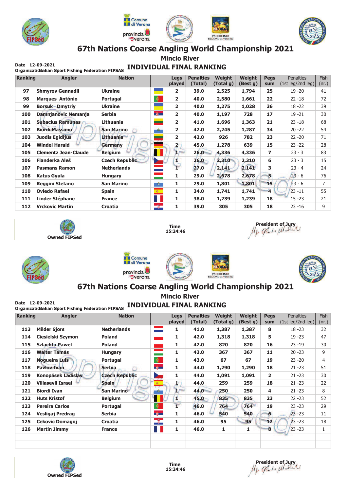





**Mincio River** 

# **Calc 12-05-2021**<br>Organizatidalian Sport Fishing Federation FIPSAS INDIVIDUAL FINAL RANKING

| Ranking | <b>Angler</b>               | <b>Nation</b>         |                                            | Legs<br>played          | <b>Penalties</b><br>(Total) | <b>Weight</b><br>(Total g) | <b>Weight</b><br>(Best g) | <b>Pegs</b><br>sum      | <b>Penalties</b><br>(1st leg/2nd leg) | <b>Fish</b><br>(nr.) |
|---------|-----------------------------|-----------------------|--------------------------------------------|-------------------------|-----------------------------|----------------------------|---------------------------|-------------------------|---------------------------------------|----------------------|
| 97      | <b>Shmyrov Gennadii</b>     | <b>Ukraine</b>        |                                            | $\overline{2}$          | 39.0                        | 2,525                      | 1,794                     | 25                      | $19 - 20$                             | 41                   |
| 98      | <b>Marques António</b>      | Portugal              | $\bullet$                                  | $\overline{2}$          | 40.0                        | 2,580                      | 1,661                     | 22                      | $22 - 18$                             | 72                   |
| 99      | <b>Borsuk Dmytriy</b>       | Ukraine               |                                            | $\overline{2}$          | 40.0                        | 1,275                      | 1,028                     | 36                      | $18 - 22$                             | 39                   |
| 100     | <b>Damnjanovic Nemanja</b>  | <b>Serbia</b>         | $\frac{a}{b}$                              | $\overline{2}$          | 40.0                        | 1,197                      | 728                       | 17                      | $19 - 21$                             | 30                   |
| 101     | <b>Subacius Ramunas</b>     | Lithuania             | $\overline{\phantom{0}}$                   | $\overline{2}$          | 41.0                        | 1,696                      | 1,363                     | 21                      | $23 - 18$                             | 68                   |
| 102     | <b>Biordi Massimo</b>       | <b>San Marino</b>     | $\frac{1}{2\sqrt{2}}\mathcal{L}_{\rm eff}$ | 2                       | 42.0                        | 2,245                      | 1,287                     | 34                      | $20 - 22$                             | 54                   |
| 103     | <b>Juodis Egidijus</b>      | Lithuania             |                                            | $\overline{\mathbf{2}}$ | 42.0                        | 926                        | 782                       | 23                      | $22 - 20$                             | 71                   |
| 104     | <b>Windel Harald</b>        | Germany               |                                            | $\overline{\mathbf{2}}$ | 45.0                        | 1,278                      | 639                       | 15                      | $23 - 22$                             | 28                   |
| 105     | <b>Clementz Jean-Claude</b> | Belgium               | ш                                          | ır                      | 26.0                        | 4,336                      | 4,336                     | 7                       | $23 - 3$                              | 83                   |
| 106     | Flanderka Aleš              | <b>Czech Republic</b> | $\mathcal{L}$                              | ш                       | 26.0                        | 2,310                      | 2,310                     | 6                       | $23 - 3$                              | 15                   |
| 107     | <b>Pasmans Ramon</b>        | <b>Netherlands</b>    |                                            | Ŧ                       | 27.0                        | 2,141                      | 2,141                     | 3                       | $23 - 4$                              | 24                   |
| 108     | <b>Katus Gyula</b>          | <b>Hungary</b>        |                                            | 1                       | 29.0                        | 2,678                      | 2,678                     | 5                       | $23 - 6$                              | 76                   |
| 109     | <b>Reggini Stefano</b>      | <b>San Marino</b>     | ister i                                    | 1                       | 29.0                        | 1,801                      | 1,801                     | 15                      | $23 - 6$                              | 7                    |
| 110     | <b>Oviedo Rafael</b>        | <b>Spain</b>          | $\frac{1}{\sqrt{2}}$                       | 1                       | 34.0                        | 1,741                      | 1,741                     | $\overline{\mathbf{4}}$ | $23 - 11$                             | 55                   |
| 111     | <b>Linder Stéphane</b>      | <b>France</b>         | H                                          | 1                       | 38.0                        | 1,239                      | 1,239                     | 18                      | $15 - 23$                             | 21                   |
| 112     | <b>Vrckovic Martin</b>      | <b>Croatia</b>        | $\overline{\mathscr{B}}$ .                 | 1                       | 39.0                        | 305                        | 305                       | 18                      | $23 - 16$                             | 9                    |











## 67th Nations Coarse Angling World Championship 2021

**Mincio River** 

| Ranking | <b>Angler</b>             | <b>Nation</b>         |                          | <b>Legs</b><br>played   | <b>Penalties</b><br>(Total) | Weight<br>(Total g) | Weight<br>(Best g) | <b>Pegs</b><br>sum | <b>Penalties</b><br>(1st leg/2nd leg) | <b>Fish</b><br>(nr.) |
|---------|---------------------------|-----------------------|--------------------------|-------------------------|-----------------------------|---------------------|--------------------|--------------------|---------------------------------------|----------------------|
| 113     | <b>Milder Sjors</b>       | <b>Netherlands</b>    | $\sim 10$                | 1                       | 41.0                        | 1,387               | 1,387              | 8                  | $18 - 23$                             | 32                   |
| 114     | Ciesielski Szymon         | <b>Poland</b>         | an an India.<br>Tagairtí | 1                       | 42.0                        | 1,318               | 1,318              | 5                  | $19 - 23$                             | 47                   |
| 115     | <b>Szlachta Pawel</b>     | <b>Poland</b>         | a a s                    | 1                       | 42.0                        | 820                 | 820                | 16                 | $23 - 19$                             | 30                   |
| 116     | <b>Walter Tamás</b>       | <b>Hungary</b>        | $\overline{\phantom{a}}$ | 1                       | 43.0                        | 367                 | 367                | 11                 | $20 - 23$                             | 9                    |
| 117     | <b>Noqueira Luis</b>      | Portugal              | $\bullet$                | 1                       | 43.0                        | 67                  | 67                 | 19                 | $23 - 20$                             | 4                    |
| 118     | <b>Paylov Ivan</b>        | <b>Serbia</b>         | 尊一                       | 1                       | 44.0                        | 1,290               | 1,290              | 18                 | $21 - 23$                             | 51                   |
| 119     | <b>Konopásek Ladislav</b> | <b>Czech Republic</b> | <b>Septiment</b>         | 1                       | 44.0                        | 1,091               | 1,091              | $\overline{2}$     | $21 - 23$                             | 30                   |
| 120     | <b>Villasevil Israel</b>  | <b>Spain</b>          |                          | 1.                      | 44.0                        | 259                 | 259                | 18                 | $21 - 23$                             | 22                   |
| 121     | <b>Biordi Ivan</b>        | <b>San Marino</b>     | ilik 1                   | ır                      | 44.0                        | 250                 | 250                | 4                  | $21 - 23$                             | 8                    |
| 122     | <b>Huts Kristof</b>       | <b>Belgium</b>        | П                        | 1                       | $45.0 -$                    | 835                 | 835                | 23                 | $22 - 23$                             | 52                   |
| 123     | Pereira Carlos            | <b>Portugal</b>       | $\bullet$                | $\overline{\mathbf{1}}$ | 46.0                        | 764                 | 764                | 19                 | $23 - 23$                             | 29                   |
| 124     | Vesligaj Predrag          | <b>Serbia</b>         | 尊一                       | 1                       | 46.0                        | 540                 | 540                | 6                  | $23 - 23$                             | 11                   |
| 125     | <b>Cekovic Domagoj</b>    | Croatia               | $\overline{\phantom{a}}$ | 1                       | 46.0                        | 95                  | 95                 | 12                 | $23 - 23$                             | 18                   |
| 126     | <b>Martin Jimmy</b>       | <b>France</b>         | Ш                        | 1                       | 46.0                        | 1                   | 1                  | 8                  | $23 - 23$                             | 1                    |

**Owned FIPSed** 



President of Jury<br>Mgo Gads Matter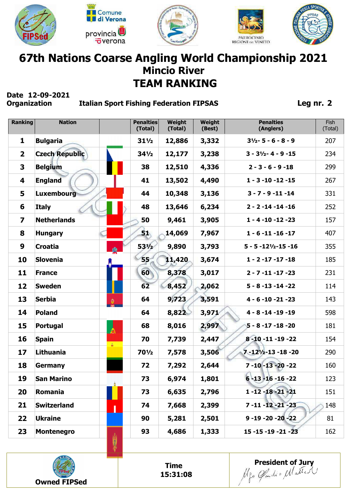







## **67th Nations Coarse Angling World Championship 2021 TEAM RANKING Mincio River**

# **Date 12-09-2021**

#### **Italian Sport Fishing Federation FIPSAS**

**Leg nr. 2**

| <b>Bulgaria</b><br>3,332<br>1<br>$31\frac{1}{2}$<br>12,886<br>$31/2 - 5 - 6 - 8 - 9$<br>207<br><b>Czech Republic</b><br>3,238<br>$\mathbf{2}$<br>$34\frac{1}{2}$<br>12,177<br>$3 - 31/2 - 4 - 9 - 15$<br>234<br>3<br><b>Belgium</b><br>38<br>12,510<br>4,336<br>299<br>$2 - 3 - 6 - 9 - 18$<br>41<br>4,490<br>13,502<br>267<br>4<br><b>England</b><br>$1 - 3 - 10 - 12 - 15$<br>3,136<br>5<br>Luxembourg<br>44<br>10,348<br>331<br>$3 - 7 - 9 - 11 - 14$<br>6,234<br><b>Italy</b><br>48<br>13,646<br>6<br>$2 - 2 - 14 - 14 - 16$<br>252<br><b>Netherlands</b><br>50<br>9,461<br>3,905<br>$1 - 4 - 10 - 12 - 23$<br>$\overline{\mathbf{z}}$<br>157<br>8<br>14,069<br>7,967<br>ΞŊ<br>$1 - 6 - 11 - 16 - 17$<br>407<br><b>Hungary</b><br>$53\frac{1}{2}$<br>9<br><b>Croatia</b><br>9,890<br>3,793<br>355<br>$5 - 5 - 12\frac{1}{2} - 15 - 16$<br>輿<br>10<br><b>Slovenia</b><br>55<br>11,420<br>3,674<br>$1 - 2 - 17 - 17 - 18$<br>185<br>60<br>3,017<br>11<br><b>France</b><br>8,378<br>$2 - 7 - 11 - 17 - 23$<br>231<br>8,452<br>62<br>2,062<br>12<br><b>Sweden</b><br>$5 - 8 - 13 - 14 - 22$<br>114<br>9,723<br>13<br><b>Serbia</b><br>64<br>3,591<br>$4 - 6 - 10 - 21 - 23$<br>143<br>◈<br>3,971<br>8,822<br>14<br><b>Poland</b><br>64<br>598<br>$4 - 8 - 14 - 19 - 19$<br>2,997<br>8,016<br>15<br>68<br><b>Portugal</b><br>$5 - 8 - 17 - 18 - 20$<br>181<br>$\mathbb{A}$<br><b>Spain</b><br>2,447<br>8-10-11-19-22<br>16<br>70<br>7,739<br>154<br>å.<br>3,506<br>17<br><b>Lithuania</b><br>$70\frac{1}{2}$<br>$7 - 12\frac{1}{2} - 13 - 18 - 20$<br>290<br>7,578<br>7 - 10 - 13 - 20 - 22<br>18<br>72<br>2,644<br>7,292<br>160<br><b>Germany</b><br>19<br>1,801<br>$6 - 13 - 16 - 16 - 22$<br>73<br>6,974<br>123<br><b>San Marino</b><br>Romania<br>$1 - 12 - 18 - 21 - 21$<br>20<br>73<br>6,635<br>2,796<br>151<br><b>Switzerland</b><br>21<br>74<br>7,668<br>2,399<br>7 - 11 - 12 - 21 - 23<br>148<br>22<br><b>Ukraine</b><br>90<br>5,281<br>2,501<br>$9 - 19 - 20 - 20 - 22$<br>81<br>23<br><b>Montenegro</b><br>93<br>4,686<br>1,333<br>$15 - 15 - 19 - 21 - 23$<br>162<br>M | <b>Ranking</b> | <b>Nation</b> | <b>Penalties</b><br>(Total) | Weight<br>(Total) | Weight<br>(Best) | <b>Penalties</b><br>(Anglers) | Fish<br>(Total) |
|-----------------------------------------------------------------------------------------------------------------------------------------------------------------------------------------------------------------------------------------------------------------------------------------------------------------------------------------------------------------------------------------------------------------------------------------------------------------------------------------------------------------------------------------------------------------------------------------------------------------------------------------------------------------------------------------------------------------------------------------------------------------------------------------------------------------------------------------------------------------------------------------------------------------------------------------------------------------------------------------------------------------------------------------------------------------------------------------------------------------------------------------------------------------------------------------------------------------------------------------------------------------------------------------------------------------------------------------------------------------------------------------------------------------------------------------------------------------------------------------------------------------------------------------------------------------------------------------------------------------------------------------------------------------------------------------------------------------------------------------------------------------------------------------------------------------------------------------------------------------------------------------------------------------------------------------------------------------------------------------------------------------------------------------------------------------------------------|----------------|---------------|-----------------------------|-------------------|------------------|-------------------------------|-----------------|
|                                                                                                                                                                                                                                                                                                                                                                                                                                                                                                                                                                                                                                                                                                                                                                                                                                                                                                                                                                                                                                                                                                                                                                                                                                                                                                                                                                                                                                                                                                                                                                                                                                                                                                                                                                                                                                                                                                                                                                                                                                                                                   |                |               |                             |                   |                  |                               |                 |
|                                                                                                                                                                                                                                                                                                                                                                                                                                                                                                                                                                                                                                                                                                                                                                                                                                                                                                                                                                                                                                                                                                                                                                                                                                                                                                                                                                                                                                                                                                                                                                                                                                                                                                                                                                                                                                                                                                                                                                                                                                                                                   |                |               |                             |                   |                  |                               |                 |
|                                                                                                                                                                                                                                                                                                                                                                                                                                                                                                                                                                                                                                                                                                                                                                                                                                                                                                                                                                                                                                                                                                                                                                                                                                                                                                                                                                                                                                                                                                                                                                                                                                                                                                                                                                                                                                                                                                                                                                                                                                                                                   |                |               |                             |                   |                  |                               |                 |
|                                                                                                                                                                                                                                                                                                                                                                                                                                                                                                                                                                                                                                                                                                                                                                                                                                                                                                                                                                                                                                                                                                                                                                                                                                                                                                                                                                                                                                                                                                                                                                                                                                                                                                                                                                                                                                                                                                                                                                                                                                                                                   |                |               |                             |                   |                  |                               |                 |
|                                                                                                                                                                                                                                                                                                                                                                                                                                                                                                                                                                                                                                                                                                                                                                                                                                                                                                                                                                                                                                                                                                                                                                                                                                                                                                                                                                                                                                                                                                                                                                                                                                                                                                                                                                                                                                                                                                                                                                                                                                                                                   |                |               |                             |                   |                  |                               |                 |
|                                                                                                                                                                                                                                                                                                                                                                                                                                                                                                                                                                                                                                                                                                                                                                                                                                                                                                                                                                                                                                                                                                                                                                                                                                                                                                                                                                                                                                                                                                                                                                                                                                                                                                                                                                                                                                                                                                                                                                                                                                                                                   |                |               |                             |                   |                  |                               |                 |
|                                                                                                                                                                                                                                                                                                                                                                                                                                                                                                                                                                                                                                                                                                                                                                                                                                                                                                                                                                                                                                                                                                                                                                                                                                                                                                                                                                                                                                                                                                                                                                                                                                                                                                                                                                                                                                                                                                                                                                                                                                                                                   |                |               |                             |                   |                  |                               |                 |
|                                                                                                                                                                                                                                                                                                                                                                                                                                                                                                                                                                                                                                                                                                                                                                                                                                                                                                                                                                                                                                                                                                                                                                                                                                                                                                                                                                                                                                                                                                                                                                                                                                                                                                                                                                                                                                                                                                                                                                                                                                                                                   |                |               |                             |                   |                  |                               |                 |
|                                                                                                                                                                                                                                                                                                                                                                                                                                                                                                                                                                                                                                                                                                                                                                                                                                                                                                                                                                                                                                                                                                                                                                                                                                                                                                                                                                                                                                                                                                                                                                                                                                                                                                                                                                                                                                                                                                                                                                                                                                                                                   |                |               |                             |                   |                  |                               |                 |
|                                                                                                                                                                                                                                                                                                                                                                                                                                                                                                                                                                                                                                                                                                                                                                                                                                                                                                                                                                                                                                                                                                                                                                                                                                                                                                                                                                                                                                                                                                                                                                                                                                                                                                                                                                                                                                                                                                                                                                                                                                                                                   |                |               |                             |                   |                  |                               |                 |
|                                                                                                                                                                                                                                                                                                                                                                                                                                                                                                                                                                                                                                                                                                                                                                                                                                                                                                                                                                                                                                                                                                                                                                                                                                                                                                                                                                                                                                                                                                                                                                                                                                                                                                                                                                                                                                                                                                                                                                                                                                                                                   |                |               |                             |                   |                  |                               |                 |
|                                                                                                                                                                                                                                                                                                                                                                                                                                                                                                                                                                                                                                                                                                                                                                                                                                                                                                                                                                                                                                                                                                                                                                                                                                                                                                                                                                                                                                                                                                                                                                                                                                                                                                                                                                                                                                                                                                                                                                                                                                                                                   |                |               |                             |                   |                  |                               |                 |
|                                                                                                                                                                                                                                                                                                                                                                                                                                                                                                                                                                                                                                                                                                                                                                                                                                                                                                                                                                                                                                                                                                                                                                                                                                                                                                                                                                                                                                                                                                                                                                                                                                                                                                                                                                                                                                                                                                                                                                                                                                                                                   |                |               |                             |                   |                  |                               |                 |
|                                                                                                                                                                                                                                                                                                                                                                                                                                                                                                                                                                                                                                                                                                                                                                                                                                                                                                                                                                                                                                                                                                                                                                                                                                                                                                                                                                                                                                                                                                                                                                                                                                                                                                                                                                                                                                                                                                                                                                                                                                                                                   |                |               |                             |                   |                  |                               |                 |
|                                                                                                                                                                                                                                                                                                                                                                                                                                                                                                                                                                                                                                                                                                                                                                                                                                                                                                                                                                                                                                                                                                                                                                                                                                                                                                                                                                                                                                                                                                                                                                                                                                                                                                                                                                                                                                                                                                                                                                                                                                                                                   |                |               |                             |                   |                  |                               |                 |
|                                                                                                                                                                                                                                                                                                                                                                                                                                                                                                                                                                                                                                                                                                                                                                                                                                                                                                                                                                                                                                                                                                                                                                                                                                                                                                                                                                                                                                                                                                                                                                                                                                                                                                                                                                                                                                                                                                                                                                                                                                                                                   |                |               |                             |                   |                  |                               |                 |
|                                                                                                                                                                                                                                                                                                                                                                                                                                                                                                                                                                                                                                                                                                                                                                                                                                                                                                                                                                                                                                                                                                                                                                                                                                                                                                                                                                                                                                                                                                                                                                                                                                                                                                                                                                                                                                                                                                                                                                                                                                                                                   |                |               |                             |                   |                  |                               |                 |
|                                                                                                                                                                                                                                                                                                                                                                                                                                                                                                                                                                                                                                                                                                                                                                                                                                                                                                                                                                                                                                                                                                                                                                                                                                                                                                                                                                                                                                                                                                                                                                                                                                                                                                                                                                                                                                                                                                                                                                                                                                                                                   |                |               |                             |                   |                  |                               |                 |
|                                                                                                                                                                                                                                                                                                                                                                                                                                                                                                                                                                                                                                                                                                                                                                                                                                                                                                                                                                                                                                                                                                                                                                                                                                                                                                                                                                                                                                                                                                                                                                                                                                                                                                                                                                                                                                                                                                                                                                                                                                                                                   |                |               |                             |                   |                  |                               |                 |
|                                                                                                                                                                                                                                                                                                                                                                                                                                                                                                                                                                                                                                                                                                                                                                                                                                                                                                                                                                                                                                                                                                                                                                                                                                                                                                                                                                                                                                                                                                                                                                                                                                                                                                                                                                                                                                                                                                                                                                                                                                                                                   |                |               |                             |                   |                  |                               |                 |
|                                                                                                                                                                                                                                                                                                                                                                                                                                                                                                                                                                                                                                                                                                                                                                                                                                                                                                                                                                                                                                                                                                                                                                                                                                                                                                                                                                                                                                                                                                                                                                                                                                                                                                                                                                                                                                                                                                                                                                                                                                                                                   |                |               |                             |                   |                  |                               |                 |
|                                                                                                                                                                                                                                                                                                                                                                                                                                                                                                                                                                                                                                                                                                                                                                                                                                                                                                                                                                                                                                                                                                                                                                                                                                                                                                                                                                                                                                                                                                                                                                                                                                                                                                                                                                                                                                                                                                                                                                                                                                                                                   |                |               |                             |                   |                  |                               |                 |
|                                                                                                                                                                                                                                                                                                                                                                                                                                                                                                                                                                                                                                                                                                                                                                                                                                                                                                                                                                                                                                                                                                                                                                                                                                                                                                                                                                                                                                                                                                                                                                                                                                                                                                                                                                                                                                                                                                                                                                                                                                                                                   |                |               |                             |                   |                  |                               |                 |



**Time 15:31:08** **President of Jury**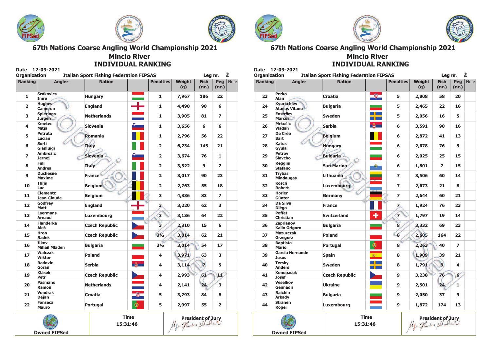

 $12.00.202$ 





67th Nations Coarse Angling World Championship 2021

#### **Mincio River INDIVIDUAL RANKING**

| <b>Organization</b>      |                                      | <b>Italian Sport Fishing Federation FIPSAS</b> |               |                         |                      | Leg nr.              |                         | $\overline{\mathbf{2}}$ |
|--------------------------|--------------------------------------|------------------------------------------------|---------------|-------------------------|----------------------|----------------------|-------------------------|-------------------------|
| <b>Ranking</b>           | <b>Angler</b>                        | <b>Nation</b>                                  |               | <b>Penalties</b>        | <b>Weight</b><br>(g) | <b>Fish</b><br>(nr.) | Peg<br>(nr.)            | <b>Note</b>             |
| 1                        | <b>Szákovics</b><br>Imre             | <b>Hungary</b>                                 |               | 1                       | 7,967                | 186                  | 22                      |                         |
| $\overline{2}$           | <b>Hughes</b><br><b>Cameron</b>      | <b>England</b>                                 | $\mathbf{L}$  | 1                       | 4,490                | 90                   | 6                       |                         |
| 3                        | <b>Spierings</b><br><b>Jurgen</b>    | <b>Netherlands</b>                             |               | 1                       | 3,905                | 81                   | $\overline{ }$          |                         |
| 4                        | <b>Kmetec</b><br>Mitja               | <b>Slovenia</b>                                |               | 1                       | 3,656                | 6                    | 6                       |                         |
| 5                        | Petruta<br>Lucian                    | Romania                                        |               | 1                       | 2,796                | 56                   | 22                      |                         |
| 6                        | Sorti<br>Gianluigi                   | <b>Italy</b>                                   |               | $\overline{\mathbf{2}}$ | 6,234                | 145                  | 21                      |                         |
| $\overline{\phantom{a}}$ | <b>Ambrožic</b><br>Jernej            | <b>Slovenia</b>                                |               | $\overline{2}$          | 3,674                | 76                   | 1                       |                         |
| 8                        | <b>Fini</b><br><b>Andrea</b>         | Italy                                          |               | $\overline{2}$          | 3,322                | 9                    | $\overline{ }$          |                         |
| $\mathbf{9}$             | <b>Duchesne</b><br><b>Maxime</b>     | <b>France</b>                                  |               | $\overline{2}$          | 3,017                | 90                   | 23                      |                         |
| 10                       | <b>Thiis</b><br><b>Luc</b>           | <b>Belgium</b>                                 |               | $\overline{2}$          | 2,763                | 55                   | 18                      |                         |
| 11                       | <b>Clementz</b><br>Jean-Claude       | <b>Belgium</b>                                 |               | 3                       | 4,336                | 83                   | $\overline{ }$          |                         |
| 12                       | Godfrey<br><b>Matt</b>               | <b>England</b>                                 |               | 3.                      | 3,220                | 62                   | 3                       |                         |
| 13                       | <b>Laermans</b><br><b>Arnaud</b>     | Luxembourg                                     |               | 3                       | 3,136                | 64                   | 22                      |                         |
| 14                       | <b>Flanderka</b><br>Aleš             | <b>Czech Republic</b>                          |               | $\overline{\mathbf{3}}$ | 2,310                | 15                   | 6                       |                         |
| 15                       | <b>Hron</b><br>Radek                 | <b>Czech Republic</b>                          |               | $3^{1/2}$               | 3,014                | 62                   | 21                      |                         |
| 16                       | <b>Ilkov</b><br><b>Mihail Mladen</b> | <b>Bulgaria</b>                                |               | $3^{1/2}$               | 3,014                | 54                   | 17                      |                         |
| 17                       | <b>Walczak</b><br>Wiktor             | Poland                                         |               | 4                       | 3,971                | 63                   | 3                       |                         |
| 18                       | Radovic<br>Goran                     | <b>Serbia</b>                                  | $\frac{2}{3}$ | 4                       | 3,114                | 7                    | 5                       |                         |
| 19                       | Klásek<br>Petr                       | <b>Czech Republic</b>                          |               | 4                       | 2,993                | 61                   | шC                      |                         |
| 20                       | <b>Pasmans</b><br>Ramon              | <b>Netherlands</b>                             |               | 4                       | 2,141                | 24                   | 3                       |                         |
| 21                       | <b>Vondrak</b><br>Dejan              | <b>Croatia</b>                                 | Ø.            | 5                       | 3,793                | 84                   | 8                       |                         |
| 22                       | <b>Fonseca</b><br><b>Mauro</b>       | <b>Portugal</b>                                | $\circledast$ | 5                       | 2,997                | 55                   | $\overline{\mathbf{2}}$ |                         |



**Time** 15:31:46









67th Nations Coarse Angling World Championship 2021 **Mincio River** 

**INDIVIDUAL RANKING** 

| <b>Date</b><br><b>Organization</b> | 12-09-2021                                | <b>Italian Sport Fishing Federation FIPSAS</b> |               |                         |                      | Leg nr.                  |                | $\overline{2}$ |
|------------------------------------|-------------------------------------------|------------------------------------------------|---------------|-------------------------|----------------------|--------------------------|----------------|----------------|
| <b>Ranking</b>                     | <b>Angler</b>                             | <b>Nation</b>                                  |               | <b>Penalties</b>        | <b>Weight</b><br>(g) | <b>Fish</b><br>(nr.)     | Pea<br>(nr.)   | <b>Note</b>    |
| 23                                 | Perko<br><b>Alan</b>                      | Croatia                                        | Ø.            | 5                       | 2,808                | 58                       | 20             |                |
| 24                                 | <b>Kvurkchiev</b><br><b>Atanas Vitano</b> | <b>Bulgaria</b>                                |               | 5                       | 2,465                | 22                       | 16             |                |
| 25                                 | <b>Enström</b><br><b>Marcus</b>           | <b>Sweden</b>                                  | ┽             | 5                       | 2,056                | 16                       | 5.             |                |
| 26                                 | <b>Mrkušic</b><br>Vladan                  | <b>Serbia</b>                                  | $\frac{a}{M}$ | 6                       | 3,591                | 90                       | 16             |                |
| 27                                 | De Crée<br><b>Bart</b>                    | <b>Belgium</b>                                 |               | 6                       | 2,872                | 41                       | 13             |                |
| 28                                 | Katus<br>Gyula                            | <b>Hungary</b>                                 |               | 6                       | 2,678                | 76                       | 5.             |                |
| 29                                 | Petrov<br>Slavcho                         | <b>Bulgaria</b>                                |               | 6                       | 2,025                | 25                       | 15             |                |
| 30                                 | Reggini<br><b>Stefano</b>                 | <b>San Marino</b>                              |               | 6                       | 1,801                | $\overline{ }$           | 15             |                |
| 31                                 | <b>Trybas</b><br><b>Mindaugas</b>         | <b>Lithuania</b>                               |               | $\overline{z}$          | 3,506                | 60                       | 14             |                |
| 32                                 | Kosch<br><b>Robert</b>                    | <b>Luxembourg</b>                              |               | $\overline{ }$          | 2,673                | 21                       | 8              |                |
| 33                                 | <b>Horler</b><br>Günter                   | Germany                                        |               | $\overline{ }$          | 2,644                | 60                       | 21             |                |
| 34                                 | Da Silva<br><b>Diégo</b>                  | <b>France</b>                                  |               | $\overline{z}$          | 1,924                | 76                       | 23             |                |
| 35                                 | <b>Poffet</b><br><b>Christian</b>         | <b>Switzerland</b>                             |               | $\overline{7}$          | 1,797                | 19                       | 14             |                |
| 36                                 | Zaprianov<br><b>Kalin Grigoro</b>         | <b>Bulgaria</b>                                |               | 8                       | 3,332                | 69                       | 23             |                |
| 37                                 | <b>Mazurczak</b><br>Grzegorz              | <b>Poland</b>                                  |               | $\overline{\mathbf{8}}$ | 2,605                | 164                      | 22             |                |
| 38                                 | <b>Baptista</b><br><b>Mario</b>           | Portugal                                       | ®             | 8                       | 2,263                | 40                       | $\overline{ }$ |                |
| 39                                 | <b>Garcia Hernande</b><br><b>Jesus</b>    | <b>Spain</b>                                   | 瓣             | 8                       | 1,909                | 39                       | 21             |                |
| 40                                 | <b>Tersby</b><br><b>Anders</b>            | <b>Sweden</b>                                  |               | 8                       | 1,791                | $\vert \mathbf{q} \vert$ | 4              |                |
| 41                                 | <b>Konopásek</b><br><b>Josef</b>          | <b>Czech Republic</b>                          |               | $\mathbf{9}$            | 3,238                | 76                       | 6              |                |
| 42                                 | <b>Veselkov</b><br>Gennadii               | <b>Ukraine</b>                                 |               | 9                       | 2,501                | 24                       | $\mathbf{1}$   |                |
| 43                                 | <b>Raichin</b><br><b>Arkady</b>           | <b>Bulgaria</b>                                |               | 9                       | 2,050                | 37                       | 9              |                |
| 44                                 | <b>Stranen</b><br>Roger                   | Luxembourg                                     |               | 9                       | 1,872                | 174                      | 13             |                |



**Time** 15:31:46 President of Jury<br>*US Gade = Ulatter*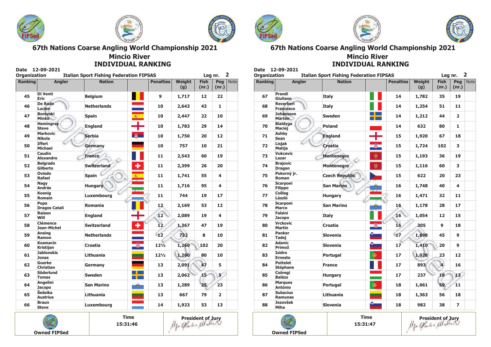





#### **Mincio River INDIVIDUAL RANKING**

| <b>Ranking</b> | <b>Angler</b>                         | <b>Nation</b>      | <b>Penalties</b>            | <b>Weight</b> | <b>Fish</b> | Pea            | <b>Note</b> |
|----------------|---------------------------------------|--------------------|-----------------------------|---------------|-------------|----------------|-------------|
|                |                                       |                    |                             | (g)           | (nr.)       | (nr.)          |             |
| 45             | Di Venti<br><b>Eric</b>               | <b>Belgium</b>     | $\mathbf{9}$                | 1,717         | 12          | 22             |             |
| 46             | <b>De Rade</b><br>Lucien              | <b>Netherlands</b> | 10                          | 2,643         | 43          | $\mathbf{1}$   |             |
| 47             | <b>Borovski</b><br><b>Minko</b>       | <b>Spain</b>       | 藏<br>10                     | 2,447         | 22          | 10             |             |
| 48             | <b>Hemingray</b><br><b>Steve</b>      | <b>England</b>     | 10                          | 1,783         | 29          | 14             |             |
| 49             | <b>Markovic</b><br><b>Nikola</b>      | <b>Serbia</b>      | 10                          | 1,750         | 20          | 12             |             |
| 50             | <b>Iffert</b><br><b>Michael</b>       | Germany            | 10                          | 757           | 10          | 21             |             |
| 51             | Caudin<br><b>Alexandre</b>            | <b>France</b>      | 11                          | 2,543         | 60          | 19             |             |
| 52             | <b>Belgrado</b><br>Gilberto           | <b>Switzerland</b> | ÷<br>11                     | 2,399         | 26          | 20             |             |
| 53             | Oviedo<br>Rafael                      | <b>Spain</b>       | 霧<br>11                     | 1,741         | 55          | 4              |             |
| 54             | Nagy<br><b>András</b>                 | <b>Hungary</b>     | 11                          | 1,716         | 95          | 4              |             |
| 55             | Koenia<br>Romain                      | Luxembourg         | 11                          | 744           | 19          | 17             |             |
| 56             | Popa<br><b>Dragos Catali</b>          | <b>Romania</b>     | 12                          | 2,169         | 53          | 12             |             |
| 57             | Raison<br>Will                        | <b>England</b>     | $\overline{12}$             | 2,089         | 19          | 4              |             |
| 58             | <b>Clémence</b><br><b>Jean-Michel</b> | <b>Switzerland</b> | ٠<br>12 <sub>2</sub>        | 1,367         | 47          | 19             |             |
| 59             | Ansing<br>Ramon                       | <b>Netherlands</b> | 12                          | 732           | 8           | 10             |             |
| 60             | <b>Kosmacin</b><br><b>Kristijan</b>   | Croatia            | <b>e</b><br>$12\frac{1}{2}$ | 1,260         | 102         | 20             |             |
| 61             | <b>Jablonskis</b><br><b>Jonas</b>     | Lithuania          | $12\frac{1}{2}$             | 1,260         | 80          | 10             |             |
| 62             | Goerke<br><b>Christian</b>            | Germany            | 13                          | 2,091         | 47          | 5              |             |
| 63             | <b>Söderlund</b><br><b>Tomas</b>      | <b>Sweden</b>      | 13                          | 2,062         | 15          | 5 <sup>′</sup> |             |
| 64             | <b>Angelini</b><br><b>Jacopo</b>      | <b>San Marino</b>  | 13                          | 1,289         | 25          | 23             |             |
| 65             | Šešeika<br><b>Austrius</b>            | <b>Lithuania</b>   | 13                          | 667           | 79          | $\overline{2}$ |             |
| 66             | <b>Braun</b><br><b>Steve</b>          | Luxembourg         | 14                          | 1,923         | 53          | 13             |             |

**Owned FIPSed** 

15:31:46









67th Nations Coarse Angling World Championship 2021 **Mincio River** 

**INDIVIDUAL PANKING** 

| <b>Organization</b> | <b>Italian Sport Fishing Federation FIPSAS</b> |                       |   |                  |                      |                      |                |             |
|---------------------|------------------------------------------------|-----------------------|---|------------------|----------------------|----------------------|----------------|-------------|
| <b>Ranking</b>      | <b>Angler</b>                                  | <b>Nation</b>         |   | <b>Penalties</b> | <b>Weight</b><br>(g) | <b>Fish</b><br>(nr.) | Peq<br>(nr.)   | <b>Note</b> |
| 67                  | Prandi<br>Giuliano-                            | <b>Italy</b>          |   | 14               | 1,782                | 35                   | 19             |             |
| 68                  | <b>Reverberi</b><br><b>Francesco</b>           | Italy                 |   | 14               | 1,254                | 51                   | 11             |             |
| 69                  | <b>Johansson</b><br><b>Màrten</b>              | <b>Sweden</b>         |   | 14               | 1,212                | 44                   | $\overline{2}$ |             |
| 70                  | <b>Bialdyga</b><br>Maciej                      | Poland                |   | 14               | 632                  | 80                   | $\mathbf{1}$   |             |
| 71                  | <b>Ashby</b><br><b>Sean</b>                    | <b>England</b>        |   | 15               | 1,920                | 67                   | 18             |             |
| 72                  | <b>Lisiak</b><br>Matija                        | <b>Croatia</b>        |   | 15               | 1,724                | 102                  | 3              |             |
| 73                  | <b>Vukcevic</b><br>Lazar                       | <b>Montenegro</b>     | 鮑 | 15               | 1,193                | 36                   | 19             |             |
| 74                  | <b>Brajovic</b><br><b>Dragan</b>               | Montenegro            | 鑾 | 15               | 1,116                | 60                   | 3              |             |
| 75                  | Pokorný jr.<br>Roman                           | <b>Czech Republic</b> |   | 15               | 622                  | 20                   | 23             |             |
| 76                  | <b>Scarponi</b><br><b>Filippo</b>              | <b>San Marino</b>     |   | 16               | 1,748                | 40                   | 4              |             |
| 77                  | <b>Csillag</b><br>László                       | <b>Hungary</b>        |   | 16               | 1,471                | 32                   | 11             |             |
| 78                  | <b>Scarponi</b><br><b>Marco</b>                | <b>San Marino</b>     |   | 16               | 1,178                | 28                   | 17             |             |
| 79                  | <b>Falsini</b><br><b>Jacopo</b>                | <b>Italy</b>          |   | 16               | 1,054                | 12                   | 15             |             |
| 80                  | <b>Vrckovic</b><br><b>Martin</b>               | Croatia               |   | 16               | 305                  | 9                    | 18             |             |
| 81                  | <b>Panker</b><br><b>Tadej</b>                  | <b>Slovenia</b>       |   | 17               | 1,698                | 45                   | $\mathbf{9}$   |             |
| 82                  | <b>Adanic</b><br>Primož                        | <b>Slovenia</b>       |   | 17               | 1,410                | 20                   | 9              |             |
| 83                  | <b>Isidro</b><br><b>Ernesto</b>                | Portugal              | ⊛ | 17               | 1,028                | 23                   | 12             |             |
| 84                  | <b>Pottelet</b><br><b>Stéphane</b>             | <b>France</b>         |   | 17               | 893                  | 4                    | 16             |             |
| 85                  | Csöregi<br><b>Balázs</b>                       | <b>Hungary</b>        |   | 17               | 237                  | 18                   | 13.            |             |
| 86                  | <b>Marques</b><br>António                      | Portugal              | ⊜ | 18               | 1,661                | 59                   | 11             |             |
| 87                  | <b>Subacius</b><br><b>Ramunas</b>              | Lithuania             |   | 18               | 1,363                | 56                   | 18             |             |
| 88                  | <b>Jezovšek</b><br>Miha                        | <b>Slovenia</b>       |   | 18               | 982                  | 38                   | $\overline{ }$ |             |



**Time** 15:31:47 President of Jury<br>*USO Gradi = Walles*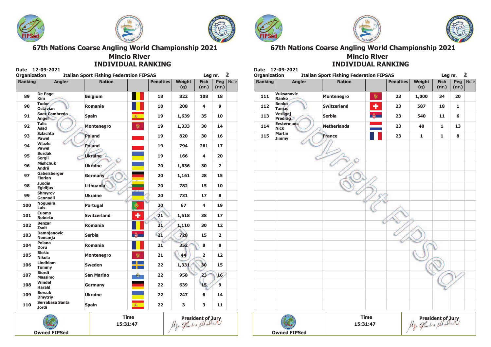





#### **Mincio River INDIVIDUAL RANKING**

| <b>Ranking</b> | <b>Angler</b>                        | <b>Nation</b>      |               | <b>Penalties</b> | <b>Weight</b> | <b>Fish</b>    | Pea            | Notel |
|----------------|--------------------------------------|--------------------|---------------|------------------|---------------|----------------|----------------|-------|
|                |                                      |                    |               |                  | (g)           | (nr.)          | (nr.)          |       |
| 89             | De Page<br><b>Kim</b>                | <b>Belgium</b>     |               | 18               | 822           | 108            | 18             |       |
| 90             | <b>Tudor</b><br><b>Octavian</b>      | Romania            |               | 18               | 208           | 4              | 9              |       |
| 91             | <b>Saez Cambredo</b><br><b>Angel</b> | <b>Spain</b>       | 廠             | 19               | 1,639         | 35             | 10             |       |
| 92             | <b>Talic</b><br>Asad                 | <b>Montenegro</b>  | 夔             | 19               | 1,333         | 30             | 14             |       |
| 93             | <b>Szlachta</b><br><b>Pawel</b>      | <b>Poland</b>      |               | 19               | 820           | 30             | 16             |       |
| 94             | Wlazlo<br><b>Pawel</b>               | <b>Poland</b>      |               | 19               | 794           | 261            | 17             |       |
| 95             | <b>Burdak</b><br>Sergii              | <b>Ukraine</b>     |               | 19               | 166           | 4              | 20             |       |
| 96             | <b>Mishchuk</b><br><b>Andrii</b>     | <b>Ukraine</b>     |               | 20               | 1,636         | 30             | $\overline{2}$ |       |
| 97             | Gabelsberger<br><b>Florian</b>       | Germany            |               | 20               | 1,161         | 28             | 15             |       |
| 98             | <b>Juodis</b><br><b>Egidijus</b>     | <b>Lithuania</b>   |               | 20               | 782           | 15             | 10             |       |
| 99             | <b>Shmvrov</b><br>Gennadii           | <b>Ukraine</b>     |               | 20               | 731           | 17             | 8              |       |
| 100            | <b>Nogueira</b><br>Luis              | Portugal           | ۱             | 20               | 67            | 4              | 19             |       |
| 101            | Cuomo<br><b>Roberto</b>              | <b>Switzerland</b> | ٠             | 21               | 1,518         | 38             | 17             |       |
| 102            | <b>Benzar</b><br>Zsolt               | <b>Romania</b>     |               | 21               | 1,110         | 30             | 12             |       |
| 103            | <b>Damnjanovic</b><br>Nemanja        | <b>Serbia</b>      | $\frac{2}{3}$ | 21               | 728           | 15             | $\overline{2}$ |       |
| 104            | Poiana<br><b>Doru</b>                | <b>Romania</b>     |               | 21               | 352           | 8              | 8              |       |
| 105            | Blešic<br><b>Nikola</b>              | <b>Montenegro</b>  | 犪             | 21               | 44            | $\overline{2}$ | 12             |       |
| 106            | <b>Lindblom</b><br><b>Tommy</b>      | <b>Sweden</b>      |               | 22               | 1,331         | 30             | 15             |       |
| 107            | <b>Biordi</b><br>Massimo             | <b>San Marino</b>  |               | 22               | 958           | 23             | 16             |       |
| 108            | Windel<br><b>Harald</b>              | Germany            |               | 22               | 639           | 15             | $\overline{9}$ |       |
| 109            | <b>Borsuk</b><br><b>Dmytriy</b>      | <b>Ukraine</b>     |               | 22               | 247           | 6              | 14             |       |
| 110            | Serrabasa Santa<br><b>Jordi</b>      | <b>Spain</b>       | 藏             | 22               | 3             | 3              | 11             |       |



 $12.00.2021$ 

**Owned FIPSed** 





67th Nations Coarse Angling World Championship 2021 **Mincio River** 

**INDIVIDUAL RANKING** 

| <b>Ranking</b> | <b>Angler</b>                    | <b>Nation</b>      |             | <b>Penalties</b> | <b>Weight</b><br>(g)                                                                           | <b>Fish</b><br>(nr.) | Peg<br>(nr.) | <b>Note</b> |
|----------------|----------------------------------|--------------------|-------------|------------------|------------------------------------------------------------------------------------------------|----------------------|--------------|-------------|
| 111            | <b>Vuksanovic</b><br>Ranko       | Montenegro         | 鑾           | 23               | 1,000                                                                                          | 34                   | 20           |             |
| 112            | <b>Benko</b><br><b>Tamas</b>     | <b>Switzerland</b> | ÷           | 23               | 587                                                                                            | 18                   | $\mathbf{1}$ |             |
| 113            | Vesligaj<br>Predrag              | <b>Serbia</b>      |             | 23               | 540                                                                                            | 11                   | 6            |             |
| 114            | <b>Eestermans</b><br><b>Nick</b> | <b>Netherlands</b> |             | 23               | 40                                                                                             | $\mathbf{1}$         | 13           |             |
| 115            | <b>Martin</b><br>Jimmy           | <b>France</b>      |             | 23               | $\mathbf{1}$                                                                                   | 1                    | 8            |             |
|                |                                  |                    |             |                  |                                                                                                |                      |              |             |
|                |                                  |                    |             |                  |                                                                                                |                      |              |             |
|                |                                  |                    |             |                  |                                                                                                |                      |              |             |
|                |                                  |                    |             |                  |                                                                                                |                      |              |             |
|                |                                  |                    |             |                  |                                                                                                |                      |              |             |
|                |                                  |                    |             |                  |                                                                                                |                      |              |             |
|                |                                  |                    |             |                  |                                                                                                |                      |              |             |
|                |                                  |                    |             |                  |                                                                                                |                      |              |             |
|                |                                  |                    |             |                  |                                                                                                |                      |              |             |
|                |                                  |                    |             |                  |                                                                                                |                      |              |             |
|                |                                  |                    |             |                  |                                                                                                |                      |              |             |
|                |                                  | 15:31:47           | <b>Time</b> |                  | President of Jury<br>لكما الكه المسلم المجاهر المجاهرة<br>لكما المسلم المسلم المجاهرة المجاهرة |                      |              |             |

**Owned FIPSed** 

15:31:47

President of Jury<br>Mgo Gadi = Ulate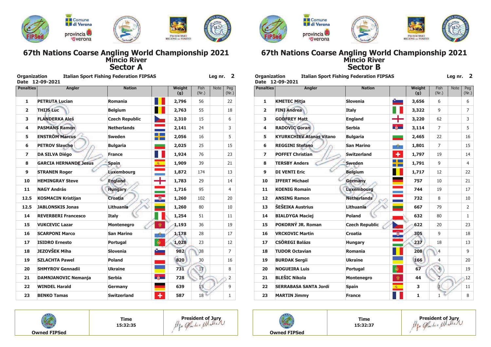

## 67th Nations Coarse Angling World Championship 2021<br>Mincio River **Sector A**

| <b>Organization</b><br><b>Date</b> | 12-09-2021                   | <b>Italian Sport Fishing Federation FIPSAS</b> |                              |                      | Leg nr.     | 2              |
|------------------------------------|------------------------------|------------------------------------------------|------------------------------|----------------------|-------------|----------------|
| <b>Penalties</b>                   | <b>Angler</b>                | <b>Nation</b>                                  | <b>Weight</b><br>(g)         | <b>Fish</b><br>(Nr.) | <b>Note</b> | Peg<br>(Nr.)   |
| 1                                  | <b>PETRUTA Lucian</b>        | Romania                                        | 2,796                        | 56                   |             | 22             |
| $\overline{2}$                     | <b>THIJS Luc</b>             | <b>Belgium</b>                                 | 2,763                        | 55                   |             | 18             |
| 3                                  | <b>FLANDERKA Aleš</b>        | <b>Czech Republic</b>                          | 2,310                        | 15                   |             | 6              |
| 4                                  | <b>PASMANS Ramon</b>         | <b>Netherlands</b>                             | 2,141                        | 24                   |             | 3              |
| 5                                  | <b>ENSTRÖM Marcus</b>        | <b>Sweden</b>                                  | 2,056                        | 16                   |             | 5              |
| 6                                  | <b>PETROV Slavcho</b>        | <b>Bulgaria</b>                                | 2,025                        | 25                   |             | 15             |
| $\overline{ }$                     | <b>DA SILVA Diégo</b>        | <b>France</b>                                  | 1,924                        | 76                   |             | 23             |
| 8                                  | <b>GARCIA HERNANDE Jesus</b> | <b>Spain</b><br>癥                              | 1,909                        | 39                   |             | 21             |
| 9                                  | <b>STRANEN Roger</b>         | Luxembourg                                     | 1,872                        | 174                  |             | 13             |
| 10                                 | <b>HEMINGRAY Steve</b>       | <b>England</b>                                 | 1,783<br>т                   | 29                   |             | 14             |
| 11                                 | <b>NAGY András</b>           | <b>Hungary</b>                                 | 1,716                        | 95                   |             | $\overline{4}$ |
| 12.5                               | <b>KOSMACIN Kristijan</b>    | <b>Croatia</b>                                 | $\overline{\omega}$<br>1,260 | 102                  |             | 20             |
| 12.5                               | <b>JABLONSKIS Jonas</b>      | <b>Lithuania</b>                               | 1,260                        | 80                   |             | 10             |
| 14                                 | <b>REVERBERI Francesco</b>   | <b>Italy</b>                                   | 1,254                        | 51                   |             | 11             |
| 15                                 | <b>VUKCEVIC Lazar</b>        | <b>Montenegro</b>                              | 樂<br>1,193                   | 36                   |             | 19             |
| 16                                 | <b>SCARPONI Marco</b>        | <b>San Marino</b>                              | 1,178<br>癖                   | 28                   |             | 17             |
| 17                                 | <b>ISIDRO Ernesto</b>        | φ<br>Portugal                                  | 1,028                        | 23                   |             | 12             |
| 18                                 | JEZOVŠEK Miha                | <b>Slovenia</b>                                | 982                          | 38                   |             | $\overline{7}$ |
| 19                                 | <b>SZLACHTA Pawel</b>        | Poland                                         | 820                          | 30                   |             | 16             |
| 20                                 | <b>SHMYROV Gennadii</b>      | <b>Ukraine</b>                                 | 731                          | 17                   |             | 8              |
| 21                                 | <b>DAMNJANOVIC Nemanja</b>   | <b>Serbia</b>                                  | $\frac{2}{3}$<br>728         | 15                   |             | $\overline{2}$ |
| 22                                 | <b>WINDEL Harald</b>         | Germany                                        | 639                          | 15                   |             | 9              |
| 23                                 | <b>BENKO Tamas</b>           | <b>Switzerland</b>                             | ٠<br>587                     | 18                   |             | $\mathbf{1}$   |





**Contract** 



### 67th Nations Coarse Angling World Championship 2021<br>Mincio River **Sector B**

 $\sim$ 

| <b>Organization</b><br><b>Date</b> | 12-09-2021                      | <b>Italian Sport Fishing Federation FIPSAS</b> |                                |                | Leg nr.     | $\overline{2}$ |
|------------------------------------|---------------------------------|------------------------------------------------|--------------------------------|----------------|-------------|----------------|
| <b>Penalties</b>                   | <b>Angler</b>                   | <b>Nation</b>                                  | Weight<br>(g)                  | Fish<br>(Nr.)  | <b>Note</b> | Peg<br>(Nr.)   |
| 1                                  | <b>KMETEC Mitja</b>             | <b>Slovenia</b>                                | ë e<br>3,656                   | 6              |             | 6              |
| $\overline{2}$                     | <b>FINI Andrea</b>              | <b>Italy</b>                                   | 3,322                          | 9              |             | $\overline{7}$ |
| 3                                  | <b>GODFREY Matt</b>             | <b>England</b>                                 | 3,220                          | 62             |             | 3              |
| 4                                  | <b>RADOVIC Goran</b>            | <b>Serbia</b>                                  | 第一<br>3,114                    | $\overline{7}$ |             | 5              |
| 5                                  | <b>KYURKCHIEV Atanas Vitano</b> | <b>Bulgaria</b>                                | 2,465                          | 22             |             | 16             |
| 6                                  | <b>REGGINI Stefano</b>          | <b>San Marino</b>                              | 1,801<br>$\frac{1}{2\sqrt{2}}$ | $\overline{7}$ |             | 15             |
| $\overline{ }$                     | <b>POFFET Christian</b>         | <b>Switzerland</b>                             | ٠<br>1,797                     | 19             |             | 14             |
| 8                                  | <b>TERSBY Anders</b>            | <b>Sweden</b>                                  | 1,791                          | 9              |             | $\overline{4}$ |
| 9                                  | <b>DI VENTI Eric</b>            | <b>Belgium</b>                                 | 1,717                          | 12             |             | 22             |
| 10                                 | <b>IFFERT Michael</b>           | Germany                                        | 757                            | 10             |             | 21             |
| 11                                 | <b>KOENIG Romain</b>            | <b>Luxembourg</b>                              | 744                            | 19             |             | 17             |
| 12                                 | <b>ANSING Ramon</b>             | <b>Netherlands</b>                             | 732                            | 8              |             | 10             |
| 13                                 | <b>ŠEŠEIKA Austrius</b>         | <b>Lithuania</b>                               | 667                            | 79             |             | 2              |
| 14                                 | <b>BIALDYGA Maciej</b>          | <b>Poland</b>                                  | 632                            | 80             |             | 1              |
| 15                                 | POKORNÝ JR. Roman               | <b>Czech Republic</b>                          | 622                            | 20             |             | 23             |
| 16                                 | <b>VRCKOVIC Martin</b>          | <b>Croatia</b>                                 | 305                            | 9              |             | 18             |
| 17                                 | <b>CSÖREGI Balázs</b>           | <b>Hungary</b>                                 | 237                            | 18             |             | 13             |
| 18                                 | <b>TUDOR Octavian</b>           | Romania                                        | 208                            | $\overline{4}$ |             | 9              |
| 19                                 | <b>BURDAK Sergii</b>            | <b>Ukraine</b>                                 | 166                            | $\overline{4}$ |             | 20             |
| 20                                 | <b>NOGUEIRA Luis</b>            | Portugal                                       | φ<br>67                        | $\overline{4}$ |             | 19             |
| 21                                 | <b>BLEŠIC Nikola</b>            | <b>Montenegro</b>                              | 樂<br>44                        | 2              |             | 12             |
| 22                                 | <b>SERRABASA SANTA Jordi</b>    | <b>Spain</b>                                   | 霧<br>3                         | $\overline{3}$ |             | 11             |
| 23                                 | <b>MARTIN Jimmy</b>             | <b>France</b>                                  | $\mathbf{1}$                   | 1              |             | 8              |



**Time** 15:32:35





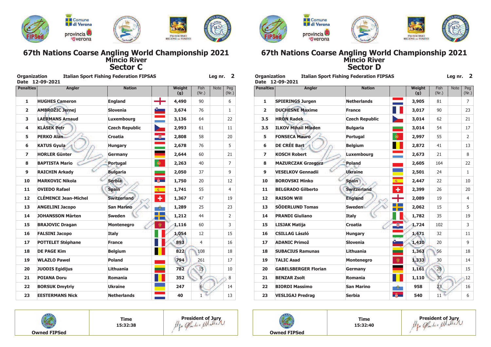

## 67th Nations Coarse Angling World Championship 2021<br>Mincio River **Sector C**

 $\sim$ 

|                  | Date 12-09-2021             |                       |               |               |                      |             |                |
|------------------|-----------------------------|-----------------------|---------------|---------------|----------------------|-------------|----------------|
| <b>Penalties</b> | <b>Angler</b>               | <b>Nation</b>         |               | Weight<br>(g) | <b>Fish</b><br>(Nr.) | <b>Note</b> | Peg<br>(Nr.)   |
| 1                | <b>HUGHES Cameron</b>       | <b>England</b>        | ╄             | 4,490         | 90                   |             | 6              |
| $\overline{2}$   | <b>AMBROŽIC Jernej</b>      | <b>Slovenia</b>       |               | 3,674         | 76                   |             | $\mathbf{1}$   |
| 3                | <b>LAERMANS Arnaud</b>      | Luxembourg            |               | 3,136         | 64                   |             | 22             |
| 4                | <b>KLÁSEK Petr</b>          | <b>Czech Republic</b> |               | 2,993         | 61                   |             | 11             |
| 5                | <b>PERKO Alan</b>           | Croatia               | $\circledast$ | 2,808         | 58                   |             | 20             |
| 6                | <b>KATUS Gyula</b>          | <b>Hungary</b>        |               | 2,678         | 76                   |             | 5              |
| $\overline{ }$   | <b>HORLER Günter</b>        | Germany               |               | 2,644         | 60                   |             | 21             |
| 8                | <b>BAPTISTA Mario</b>       | Portugal              | $\bullet$     | 2,263         | 40                   |             | $\overline{7}$ |
| 9                | <b>RAICHIN Arkady</b>       | <b>Bulgaria</b>       |               | 2,050         | 37                   |             | 9              |
| 10               | <b>MARKOVIC Nikola</b>      | <b>Serbia</b>         | 第一            | 1,750         | 20                   |             | 12             |
| 11               | <b>OVIEDO Rafael</b>        | <b>Spain</b>          | 森             | 1,741         | 55                   |             | $\overline{4}$ |
| 12               | <b>CLÉMENCE Jean-Michel</b> | <b>Switzerland</b>    | ٠             | 1,367         | 47                   |             | 19             |
| 13               | <b>ANGELINI Jacopo</b>      | <b>San Marino</b>     | ήģ,           | 1,289         | 25                   |             | 23             |
| 14               | <b>JOHANSSON Marten</b>     | <b>Sweden</b>         |               | 1,212         | 44                   |             | $\overline{2}$ |
| 15               | <b>BRAJOVIC Dragan</b>      | <b>Montenegro</b>     | 樂             | 1,116         | 60                   |             | 3              |
| 16               | <b>FALSINI Jacopo</b>       | <b>Italy</b>          |               | 1,054         | 12                   |             | 15             |
| 17               | <b>POTTELET Stéphane</b>    | <b>France</b>         |               | 893           | $\overline{4}$       |             | 16             |
| 18               | <b>DE PAGE Kim</b>          | <b>Belgium</b>        |               | 822           | 108                  |             | 18             |
| 19               | <b>WLAZLO Pawel</b>         | Poland                |               | 794           | 261                  |             | 17             |
| 20               | <b>JUODIS Egidijus</b>      | Lithuania             |               | 782           | 15                   |             | 10             |
| 21               | <b>POIANA Doru</b>          | Romania               |               | 352           | $\overline{8}$       |             | 8              |
| 22               | <b>BORSUK Dmytriy</b>       | <b>Ukraine</b>        |               | 247           | 6                    |             | 14             |
| 23               | <b>EESTERMANS Nick</b>      | <b>Netherlands</b>    |               | 40            | 1                    |             | 13             |







### 67th Nations Coarse Angling World Championship 2021<br>Mincio River **Sector D**

| Organization             | <b>Italian Sport Fishing Federation FIPSAS</b><br>Date 12-09-2021 |                       |                                              |                 | Leg nr.     | ∠              |
|--------------------------|-------------------------------------------------------------------|-----------------------|----------------------------------------------|-----------------|-------------|----------------|
| <b>Penalties</b>         | <b>Angler</b>                                                     | <b>Nation</b>         | Weight<br>(g)                                | Fish<br>(Nr.)   | <b>Note</b> | Peg<br>(Nr.)   |
| 1                        | <b>SPIERINGS Jurgen</b>                                           | <b>Netherlands</b>    | 3,905                                        | 81              |             | $\overline{7}$ |
| $\overline{2}$           | <b>DUCHESNE Maxime</b>                                            | <b>France</b>         | 3,017                                        | 90              |             | 23             |
| 3.5                      | <b>HRON Radek</b>                                                 | <b>Czech Republic</b> | 3,014                                        | 62              |             | 21             |
| 3.5                      | <b>ILKOV Mihail Mladen</b>                                        | <b>Bulgaria</b>       | 3,014                                        | 54              |             | 17             |
| 5                        | <b>FONSECA Mauro</b>                                              | Portugal              | ۰<br>2,997                                   | 55              |             | 2              |
| 6                        | <b>DE CRÉE Bart</b>                                               | <b>Belgium</b>        | 2,872                                        | 41              |             | 13             |
| $\overline{\phantom{a}}$ | <b>KOSCH Robert</b>                                               | Luxembourg            | 2,673                                        | 21              |             | 8              |
| 8                        | <b>MAZURCZAK Grzegorz</b>                                         | <b>Poland</b>         | 2,605                                        | 164             |             | 22             |
| 9                        | <b>VESELKOV Gennadii</b>                                          | Ukraine               | 2,501                                        | 24              |             | $\mathbf{1}$   |
| 10                       | <b>BOROVSKI Minko</b>                                             | <b>Spain</b>          | 2,447<br>瀚                                   | 22              |             | 10             |
| 11                       | <b>BELGRADO Gilberto</b>                                          | <b>Switzerland</b>    | ٠<br>2,399                                   | 26              |             | 20             |
| 12                       | <b>RAISON Will</b>                                                | <b>England</b>        | 2,089                                        | 19              |             | 4              |
| 13                       | <b>SÖDERLUND Tomas</b>                                            | <b>Sweden</b>         | 2,062                                        | 15              |             | 5              |
| 14                       | <b>PRANDI Giuliano</b>                                            | <b>Italy</b>          | 1,782                                        | 35              |             | 19             |
| 15                       | <b>LISJAK Matija</b>                                              | <b>Croatia</b>        | 1,724                                        | 102             |             | 3              |
| 16                       | <b>CSILLAG László</b>                                             | <b>Hungary</b>        | 1,471                                        | 32              |             | 11             |
| 17                       | <b>ADANIC Primož</b>                                              | <b>Slovenia</b>       | 1,410                                        | 20              |             | 9              |
| 18                       | <b>SUBACIUS Ramunas</b>                                           | Lithuania             | 1,363                                        | 56              |             | 18             |
| 19                       | <b>TALIC Asad</b>                                                 | <b>Montenegro</b>     | 樂<br>1,333                                   | 30              |             | 14             |
| 20                       | <b>GABELSBERGER Florian</b>                                       | Germany               | 1,161                                        | 28              |             | 15             |
| 21                       | <b>BENZAR Zsolt</b>                                               | Romania               | 1,110                                        | 30 <sub>2</sub> |             | 12             |
| 22                       | <b>BIORDI Massimo</b>                                             | <b>San Marino</b>     | 958<br>$\frac{1}{2} \frac{1}{2} \frac{1}{2}$ | 23              |             | 16             |
| 23                       | <b>VESLIGAJ Predrag</b>                                           | <b>Serbia</b>         | 第一<br>540                                    | 11              |             | 6              |



**Time** 15:32:38





**Time** 15:32:40